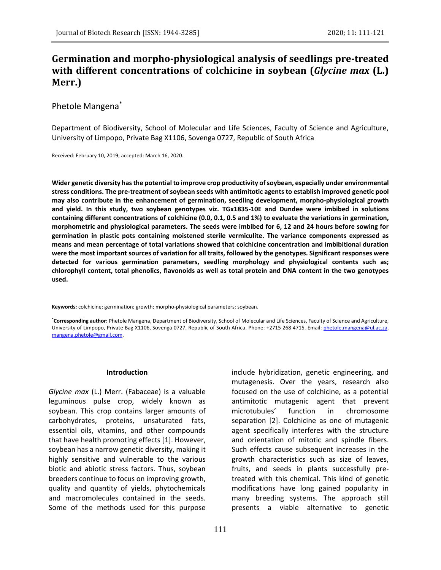# **Germination and morpho-physiological analysis of seedlings pre-treated with different concentrations of colchicine in soybean (***Glycine max* **(L.) Merr.)**

# Phetole Mangena\*

Department of Biodiversity, School of Molecular and Life Sciences, Faculty of Science and Agriculture, University of Limpopo, Private Bag X1106, Sovenga 0727, Republic of South Africa

Received: February 10, 2019; accepted: March 16, 2020.

**Wider genetic diversity has the potential to improve crop productivity of soybean, especially under environmental stress conditions. The pre-treatment of soybean seeds with antimitotic agents to establish improved genetic pool may also contribute in the enhancement of germination, seedling development, morpho-physiological growth and yield. In this study, two soybean genotypes viz. TGx1835-10E and Dundee were imbibed in solutions containing different concentrations of colchicine (0.0, 0.1, 0.5 and 1%) to evaluate the variations in germination, morphometric and physiological parameters. The seeds were imbibed for 6, 12 and 24 hours before sowing for germination in plastic pots containing moistened sterile vermiculite. The variance components expressed as means and mean percentage of total variations showed that colchicine concentration and imbibitional duration were the most important sources of variation for all traits, followed by the genotypes. Significant responses were detected for various germination parameters, seedling morphology and physiological contents such as; chlorophyll content, total phenolics, flavonoids as well as total protein and DNA content in the two genotypes used.** 

**Keywords:** colchicine; germination; growth; morpho-physiological parameters; soybean.

**\*Corresponding author:** Phetole Mangena, Department of Biodiversity, School of Molecular and Life Sciences, Faculty of Science and Agriculture, University of Limpopo, Private Bag X1106, Sovenga 0727, Republic of South Africa. Phone: +2715 268 4715. Email: [phetole.mangena@ul.ac.za.](mailto:phetole.mangena@ul.ac.za) [mangena.phetole@gmail.com.](mailto:mangena.phetole@gmail.com)

#### **Introduction**

*Glycine max* (L.) Merr. (Fabaceae) is a valuable leguminous pulse crop, widely known as soybean. This crop contains larger amounts of carbohydrates, proteins, unsaturated fats, essential oils, vitamins, and other compounds that have health promoting effects [1]. However, soybean has a narrow genetic diversity, making it highly sensitive and vulnerable to the various biotic and abiotic stress factors. Thus, soybean breeders continue to focus on improving growth, quality and quantity of yields, phytochemicals and macromolecules contained in the seeds. Some of the methods used for this purpose

include hybridization, genetic engineering, and mutagenesis. Over the years, research also focused on the use of colchicine, as a potential antimitotic mutagenic agent that prevent microtubules' function in chromosome separation [2]. Colchicine as one of mutagenic agent specifically interferes with the structure and orientation of mitotic and spindle fibers. Such effects cause subsequent increases in the growth characteristics such as size of leaves, fruits, and seeds in plants successfully pretreated with this chemical. This kind of genetic modifications have long gained popularity in many breeding systems. The approach still presents a viable alternative to genetic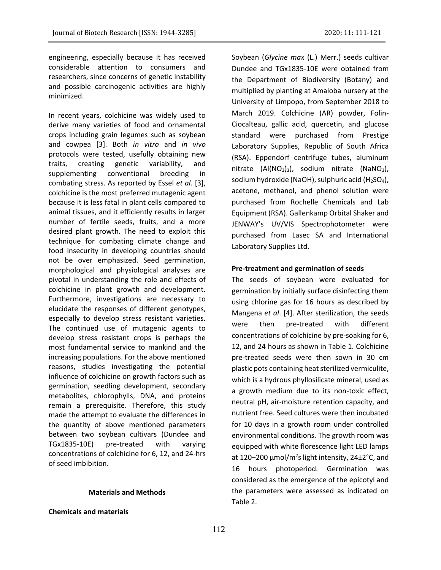engineering, especially because it has received considerable attention to consumers and researchers, since concerns of genetic instability and possible carcinogenic activities are highly minimized.

In recent years, colchicine was widely used to derive many varieties of food and ornamental crops including grain legumes such as soybean and cowpea [3]. Both *in vitro* and *in vivo* protocols were tested, usefully obtaining new traits, creating genetic variability, and supplementing conventional breeding in combating stress. As reported by Essel *et al*. [3], colchicine is the most preferred mutagenic agent because it is less fatal in plant cells compared to animal tissues, and it efficiently results in larger number of fertile seeds, fruits, and a more desired plant growth. The need to exploit this technique for combating climate change and food insecurity in developing countries should not be over emphasized. Seed germination, morphological and physiological analyses are pivotal in understanding the role and effects of colchicine in plant growth and development. Furthermore, investigations are necessary to elucidate the responses of different genotypes, especially to develop stress resistant varieties. The continued use of mutagenic agents to develop stress resistant crops is perhaps the most fundamental service to mankind and the increasing populations. For the above mentioned reasons, studies investigating the potential influence of colchicine on growth factors such as germination, seedling development, secondary metabolites, chlorophylls, DNA, and proteins remain a prerequisite. Therefore, this study made the attempt to evaluate the differences in the quantity of above mentioned parameters between two soybean cultivars (Dundee and TGx1835-10E) pre-treated with varying concentrations of colchicine for 6, 12, and 24-hrs of seed imbibition.

## **Materials and Methods**

## **Chemicals and materials**

Soybean (*Glycine max* (L.) Merr.) seeds cultivar Dundee and TGx1835-10E were obtained from the Department of Biodiversity (Botany) and multiplied by planting at Amaloba nursery at the University of Limpopo, from September 2018 to March 2019. Colchicine (AR) powder, Folin-Ciocalteau, gallic acid, quercetin, and glucose standard were purchased from Prestige Laboratory Supplies, Republic of South Africa (RSA). Eppendorf centrifuge tubes, aluminum nitrate (Al(NO<sub>3</sub>)<sub>3</sub>), sodium nitrate (NaNO<sub>3</sub>), sodium hydroxide (NaOH), sulphuric acid  $(H<sub>2</sub>SO<sub>4</sub>)$ , acetone, methanol, and phenol solution were purchased from Rochelle Chemicals and Lab Equipment (RSA). Gallenkamp Orbital Shaker and JENWAY's UV/VIS Spectrophotometer were purchased from Lasec SA and International Laboratory Supplies Ltd.

## **Pre-treatment and germination of seeds**

The seeds of soybean were evaluated for germination by initially surface disinfecting them using chlorine gas for 16 hours as described by Mangena *et al*. [4]. After sterilization, the seeds were then pre-treated with different concentrations of colchicine by pre-soaking for 6, 12, and 24 hours as shown in Table 1. Colchicine pre-treated seeds were then sown in 30 cm plastic pots containing heat sterilized vermiculite, which is a hydrous phyllosilicate mineral, used as a growth medium due to its non-toxic effect, neutral pH, air-moisture retention capacity, and nutrient free. Seed cultures were then incubated for 10 days in a growth room under controlled environmental conditions. The growth room was equipped with white florescence light LED lamps at 120–200  $\mu$ mol/m<sup>2</sup>s light intensity, 24±2°C, and 16 hours photoperiod. Germination was considered as the emergence of the epicotyl and the parameters were assessed as indicated on Table 2.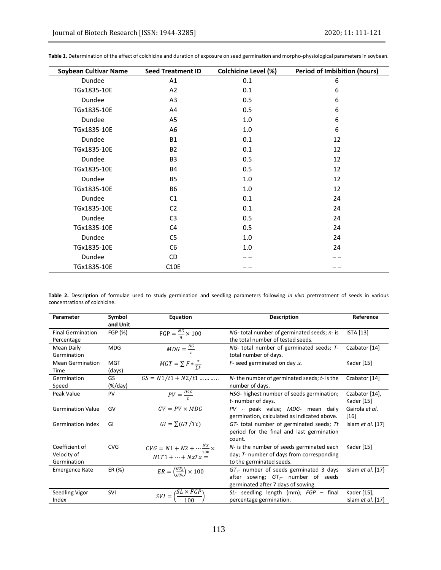| <b>Soybean Cultivar Name</b> | <b>Seed Treatment ID</b> | <b>Colchicine Level (%)</b> | <b>Period of Imbibition (hours)</b> |
|------------------------------|--------------------------|-----------------------------|-------------------------------------|
| Dundee                       | A1                       | 0.1                         | 6                                   |
| TGx1835-10E                  | A2                       | 0.1                         | 6                                   |
| Dundee                       | A <sub>3</sub>           | 0.5                         | 6                                   |
| TGx1835-10E                  | A4                       | 0.5                         | 6                                   |
| Dundee                       | A5                       | 1.0                         | 6                                   |
| TGx1835-10E                  | A6                       | 1.0                         | 6                                   |
| Dundee                       | <b>B1</b>                | 0.1                         | 12                                  |
| TGx1835-10E                  | <b>B2</b>                | 0.1                         | 12                                  |
| Dundee                       | B <sub>3</sub>           | 0.5                         | 12                                  |
| TGx1835-10E                  | <b>B4</b>                | 0.5                         | 12                                  |
| Dundee                       | <b>B5</b>                | 1.0                         | 12                                  |
| TGx1835-10E                  | <b>B6</b>                | 1.0                         | 12                                  |
| Dundee                       | C <sub>1</sub>           | 0.1                         | 24                                  |
| TGx1835-10E                  | C <sub>2</sub>           | 0.1                         | 24                                  |
| Dundee                       | C <sub>3</sub>           | 0.5                         | 24                                  |
| TGx1835-10E                  | C <sub>4</sub>           | 0.5                         | 24                                  |
| Dundee                       | C <sub>5</sub>           | 1.0                         | 24                                  |
| TGx1835-10E                  | C <sub>6</sub>           | 1.0                         | 24                                  |
| Dundee                       | CD                       |                             |                                     |
| TGx1835-10E                  | C10E                     |                             |                                     |

**Table 1.** Determination of the effect of colchicine and duration of exposure on seed germination and morpho-physiological parameters in soybean.

**Table 2.** Description of formulae used to study germination and seedling parameters following *in vivo* pretreatment of seeds in various concentrations of colchicine.

| Parameter                                    | Symbol<br>and Unit   | Equation                                                                   | <b>Description</b>                                                                                                              | Reference                        |
|----------------------------------------------|----------------------|----------------------------------------------------------------------------|---------------------------------------------------------------------------------------------------------------------------------|----------------------------------|
| <b>Final Germination</b><br>Percentage       | FGP (%)              | $FGP = \frac{NG}{2} \times 100$                                            | NG-total number of germinated seeds; n- is<br>the total number of tested seeds.                                                 | <b>ISTA</b> [13]                 |
| Mean Daily<br>Germination                    | <b>MDG</b>           | $MDG = \frac{NG}{4}$                                                       | $NG-$ total number of germinated seeds; $T-$<br>total number of days.                                                           | Czabator [14]                    |
| <b>Mean Germination</b><br>Time              | <b>MGT</b><br>(days) | $MGT = \sum F * \frac{x}{\nabla F}$                                        | $F$ - seed germinated on day $x$ .                                                                                              | Kader [15]                       |
| Germination<br>Speed                         | GS<br>$(\%/day)$     | $GS = N1/t1 + N2/t1$                                                       | $N$ - the number of germinated seeds; $t$ - is the<br>number of days.                                                           | Czabator [14]                    |
| Peak Value                                   | <b>PV</b>            | $PV = \frac{HSG}{t}$                                                       | HSG- highest number of seeds germination;<br>$t$ - number of days.                                                              | Czabator [14],<br>Kader [15]     |
| <b>Germination Value</b>                     | GV                   | $GV = PV \times MDG$                                                       | PV - peak value; MDG- mean daily<br>germination, calculated as indicated above.                                                 | Gairola et al.<br>$[16]$         |
| <b>Germination Index</b>                     | GI                   | $GI = \sum (GT/Tt)$                                                        | GT- total number of germinated seeds; Tt<br>period for the final and last germination<br>count.                                 | Islam $et$ al. [17]              |
| Coefficient of<br>Velocity of<br>Germination | <b>CVG</b>           | $CVG = N1 + N2 + \cdots \frac{Nx}{100} \times$<br>$N1T1 + \cdots + NxTx =$ | N- is the number of seeds germinated each<br>day; T- number of days from corresponding<br>to the germinated seeds.              | Kader [15]                       |
| <b>Emergence Rate</b>                        | ER (%)               | $ER = \left(\frac{GT_3}{CT_2}\right) \times 100$                           | $GT_{3}$ - number of seeds germinated 3 days<br>after sowing; $GT_{\tau}$ number of seeds<br>germinated after 7 days of sowing. | Islam $et$ al. [17]              |
| Seedling Vigor<br>Index                      | SVI                  | $SVI = \left(\frac{S\overline{L} \times FGP}{F}\right)$                    | $SL-$ seedling length (mm); $FGP - final$<br>percentage germination.                                                            | Kader [15],<br>Islam et al. [17] |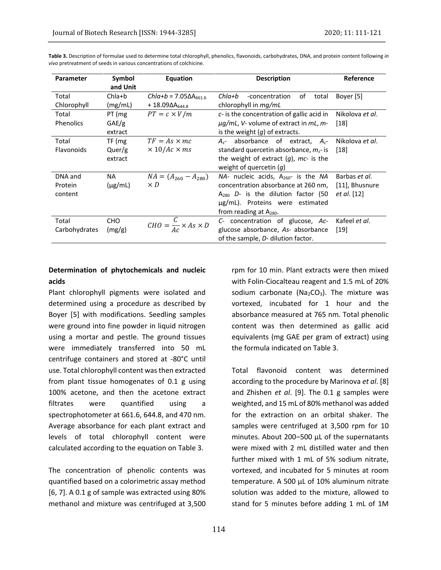| <b>Parameter</b> | Symbol       | Equation                                | <b>Description</b>                                           | Reference       |  |  |  |  |
|------------------|--------------|-----------------------------------------|--------------------------------------------------------------|-----------------|--|--|--|--|
|                  | and Unit     |                                         |                                                              |                 |  |  |  |  |
| Total            | $Chla + b$   | $ChIa+b = 7.05\Delta A_{661,6}$         | Chla+b<br>οf<br>-concentration<br>total                      | Boyer [5]       |  |  |  |  |
| Chlorophyll      | (mg/mL)      | $+ 18.09 \Delta A_{6448}$               | chlorophyll in <i>mg/mL</i>                                  |                 |  |  |  |  |
| Total            | PT (mg       | $PT = c \times V/m$                     | c- is the concentration of gallic acid in<br>Nikolova et al. |                 |  |  |  |  |
| Phenolics        | GAE/g        |                                         | $\mu$ g/mL, V- volume of extract in mL, m-<br>$[18]$         |                 |  |  |  |  |
|                  | extract      |                                         | is the weight $(q)$ of extracts.                             |                 |  |  |  |  |
| Total            | TF (mg       | $TF = As \times mc$                     | absorbance of extract, $A_{c}$<br>$A_{s^-}$                  | Nikolova et al. |  |  |  |  |
| Flavonoids       | Quer/g       | $\times$ 10/Ac $\times$ ms              | standard quercetin absorbance, $m_s$ - is<br>$[18]$          |                 |  |  |  |  |
|                  | extract      |                                         | the weight of extract $(q)$ , mc- is the                     |                 |  |  |  |  |
|                  |              |                                         | weight of quercetin $(g)$                                    |                 |  |  |  |  |
| DNA and          | <b>NA</b>    | $NA = (A_{260} - A_{280})$              | $NA$ - nucleic acids, $A_{260}$ - is the NA                  | Barbas et al.   |  |  |  |  |
| Protein          | $(\mu g/mL)$ | $\times D$                              | [11], Bhusnure<br>concentration absorbance at 260 nm,        |                 |  |  |  |  |
| content          |              |                                         | $A_{280}$ D- is the dilution factor (50                      | et al. [12]     |  |  |  |  |
|                  |              |                                         | ug/mL). Proteins were estimated                              |                 |  |  |  |  |
|                  |              |                                         | from reading at $A_{280}$ .                                  |                 |  |  |  |  |
| Total            | <b>CHO</b>   | $CHO = \frac{C}{Ac} \times As \times D$ | C- concentration of glucose, Ac-                             | Kafeel et al.   |  |  |  |  |
| Carbohydrates    | (mg/g)       |                                         | glucose absorbance, As- absorbance                           | $[19]$          |  |  |  |  |
|                  |              |                                         | of the sample, D- dilution factor.                           |                 |  |  |  |  |

**Table 3.** Description of formulae used to determine total chlorophyll, phenolics, flavonoids, carbohydrates, DNA, and protein content following *in vivo* pretreatment of seeds in various concentrations of colchicine.

# **Determination of phytochemicals and nucleic acids**

Plant chlorophyll pigments were isolated and determined using a procedure as described by Boyer [5] with modifications. Seedling samples were ground into fine powder in liquid nitrogen using a mortar and pestle. The ground tissues were immediately transferred into 50 mL centrifuge containers and stored at -80°C until use. Total chlorophyll content was then extracted from plant tissue homogenates of 0.1 g using 100% acetone, and then the acetone extract filtrates were quantified using a spectrophotometer at 661.6, 644.8, and 470 nm. Average absorbance for each plant extract and levels of total chlorophyll content were calculated according to the equation on Table 3.

The concentration of phenolic contents was quantified based on a colorimetric assay method [6, 7]. A 0.1 g of sample was extracted using 80% methanol and mixture was centrifuged at 3,500

rpm for 10 min. Plant extracts were then mixed with Folin-Ciocalteau reagent and 1.5 mL of 20% sodium carbonate ( $Na<sub>2</sub>CO<sub>3</sub>$ ). The mixture was vortexed, incubated for 1 hour and the absorbance measured at 765 nm. Total phenolic content was then determined as gallic acid equivalents (mg GAE per gram of extract) using the formula indicated on Table 3.

Total flavonoid content was determined according to the procedure by Marinova *et al*. [8] and Zhishen *et al*. [9]. The 0.1 g samples were weighted, and 15 mL of 80% methanol was added for the extraction on an orbital shaker. The samples were centrifuged at 3,500 rpm for 10 minutes. About 200-500 µL of the supernatants were mixed with 2 mL distilled water and then further mixed with 1 mL of 5% sodium nitrate, vortexed, and incubated for 5 minutes at room temperature. A 500 µL of 10% aluminum nitrate solution was added to the mixture, allowed to stand for 5 minutes before adding 1 mL of 1M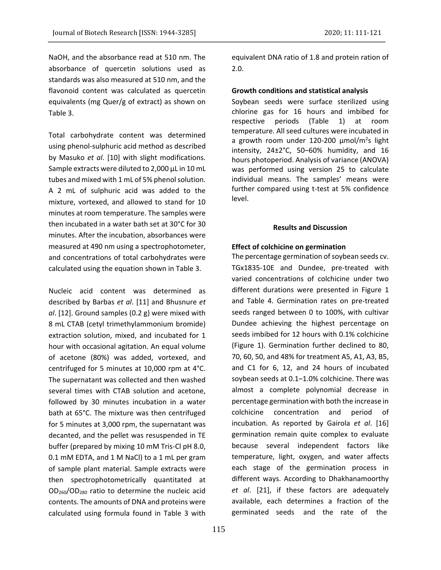NaOH, and the absorbance read at 510 nm. The absorbance of quercetin solutions used as standards was also measured at 510 nm, and the flavonoid content was calculated as quercetin equivalents (mg Quer/g of extract) as shown on Table 3.

Total carbohydrate content was determined using phenol-sulphuric acid method as described by Masuko *et al*. [10] with slight modifications. Sample extracts were diluted to 2,000 µL in 10 mL tubes and mixed with 1 mL of 5% phenol solution. A 2 mL of sulphuric acid was added to the mixture, vortexed, and allowed to stand for 10 minutes at room temperature. The samples were then incubated in a water bath set at 30°C for 30 minutes. After the incubation, absorbances were measured at 490 nm using a spectrophotometer, and concentrations of total carbohydrates were calculated using the equation shown in Table 3.

Nucleic acid content was determined as described by Barbas *et al*. [11] and Bhusnure *et al*. [12]. Ground samples (0.2 g) were mixed with 8 mL CTAB (cetyl trimethylammonium bromide) extraction solution, mixed, and incubated for 1 hour with occasional agitation. An equal volume of acetone (80%) was added, vortexed, and centrifuged for 5 minutes at 10,000 rpm at 4°C. The supernatant was collected and then washed several times with CTAB solution and acetone, followed by 30 minutes incubation in a water bath at 65°C. The mixture was then centrifuged for 5 minutes at 3,000 rpm, the supernatant was decanted, and the pellet was resuspended in TE buffer (prepared by mixing 10 mM Tris-Cl pH 8.0, 0.1 mM EDTA, and 1 M NaCl) to a 1 mL per gram of sample plant material. Sample extracts were then spectrophotometrically quantitated at OD260/OD<sup>280</sup> ratio to determine the nucleic acid contents. The amounts of DNA and proteins were calculated using formula found in Table 3 with

equivalent DNA ratio of 1.8 and protein ration of 2.0.

## **Growth conditions and statistical analysis**

Soybean seeds were surface sterilized using chlorine gas for 16 hours and imbibed for respective periods (Table 1) at room temperature. All seed cultures were incubated in a growth room under 120-200 µmol/m<sup>2</sup>s light intensity,  $24\pm2\degree$ C, 50-60% humidity, and 16 hours photoperiod. Analysis of variance (ANOVA) was performed using version 25 to calculate individual means. The samples' means were further compared using t-test at 5% confidence level.

#### **Results and Discussion**

#### **Effect of colchicine on germination**

The percentage germination of soybean seeds cv. TGx1835-10E and Dundee, pre-treated with varied concentrations of colchicine under two different durations were presented in Figure 1 and Table 4. Germination rates on pre-treated seeds ranged between 0 to 100%, with cultivar Dundee achieving the highest percentage on seeds imbibed for 12 hours with 0.1% colchicine (Figure 1). Germination further declined to 80, 70, 60, 50, and 48% for treatment A5, A1, A3, B5, and C1 for 6, 12, and 24 hours of incubated soybean seeds at 0.1-1.0% colchicine. There was almost a complete polynomial decrease in percentage germination with both the increase in colchicine concentration and period of incubation. As reported by Gairola *et al*. [16] germination remain quite complex to evaluate because several independent factors like temperature, light, oxygen, and water affects each stage of the germination process in different ways. According to Dhakhanamoorthy *et al*. [21], if these factors are adequately available, each determines a fraction of the germinated seeds and the rate of the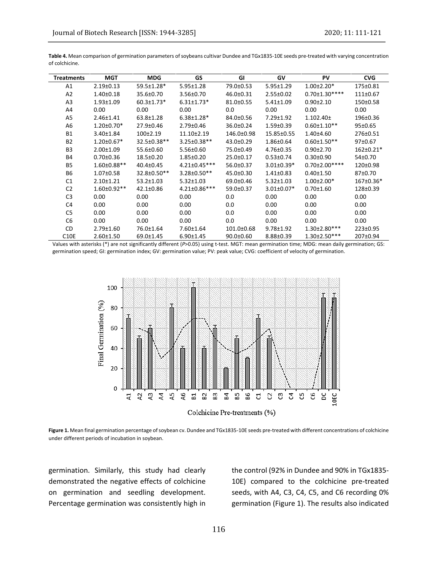| <b>Treatments</b> | <b>MGT</b>        | <b>MDG</b>         | GS                 | GI              | GV               | PV                   | <b>CVG</b>      |
|-------------------|-------------------|--------------------|--------------------|-----------------|------------------|----------------------|-----------------|
| A1                | $2.19 \pm 0.13$   | 59.5±1.28*         | $5.95 \pm 1.28$    | 79.0±0.53       | $5.95 \pm 1.29$  | $1.00 \pm 2.20*$     | 175±0.81        |
| A2                | $1.40 \pm 0.18$   | 35.6±0.70          | 3.56±0.70          | 46.0±0.31       | 2.55±0.02        | $0.70 \pm 1.30***$   | 111±0.67        |
| A3                | $1.93 \pm 1.09$   | $60.3 \pm 1.73*$   | $6.31 \pm 1.73*$   | $81.0 \pm 0.55$ | $5.41 \pm 1.09$  | $0.90 + 2.10$        | $150+0.58$      |
| A4                | 0.00              | 0.00               | 0.00               | 0.0             | 0.00             | 0.00                 | 0.00            |
| A5                | $2.46 \pm 1.41$   | 63.8±1.28          | $6.38 \pm 1.28*$   | 84.0±0.56       | $7.29 \pm 1.92$  | $1.102.40 \pm$       | 196±0.36        |
| A <sub>6</sub>    | $1.20 \pm 0.70*$  | 27.9±0.46          | 2.79±0.46          | 36.0±0.24       | $1.59 \pm 0.39$  | $0.60 \pm 1.10**$    | 95±0.65         |
| <b>B1</b>         | $3.40 \pm 1.84$   | 100±2.19           | 11.10±2.19         | 146.0±0.98      | 15.85±0.55       | $1.40{\pm}4.60$      | 276±0.51        |
| <b>B2</b>         | $1.20 \pm 0.67*$  | $32.5 \pm 0.38$ ** | $3.25 \pm 0.38$ ** | $43.0 \pm 0.29$ | 1.86±0.64        | $0.60 \pm 1.50$ **   | $97+0.67$       |
| B <sub>3</sub>    | 2.00±1.09         | 55.6±0.60          | 5.56±0.60          | 75.0±0.49       | 4.76±0.35        | $0.90 \pm 2.70$      | $162 \pm 0.21*$ |
| <b>B4</b>         | $0.70 \pm 0.36$   | 18.5±0.20          | $1.85 \pm 0.20$    | 25.0±0.17       | $0.53 \pm 0.74$  | $0.30 \pm 0.90$      | 54±0.70         |
| <b>B5</b>         | 1.60±0.88**       | 40.4±0.45          | $4.21 \pm 0.45***$ | 56.0±0.37       | $3.01 \pm 0.39*$ | $0.70 \pm 2.00$ **** | 120±0.98        |
| <b>B6</b>         | $1.07 \pm 0.58$   | $32.8 \pm 0.50**$  | $3.28 \pm 0.50**$  | 45.0±0.30       | $1.41 \pm 0.83$  | $0.40 \pm 1.50$      | 87±0.70         |
| C <sub>1</sub>    | $2.10 \pm 1.21$   | $53.2 \pm 1.03$    | $5.32 \pm 1.03$    | 69.0±0.46       | $5.32 \pm 1.03$  | $1.00 \pm 2.00*$     | 167±0.36*       |
| C <sub>2</sub>    | $1.60 \pm 0.92**$ | 42.1±0.86          | 4.21±0.86***       | 59.0±0.37       | $3.01 \pm 0.07*$ | $0.70 \pm 1.60$      | 128±0.39        |
| C <sub>3</sub>    | 0.00              | 0.00               | 0.00               | 0.0             | 0.00             | 0.00                 | 0.00            |
| C <sub>4</sub>    | 0.00              | 0.00               | 0.00               | 0.0             | 0.00             | 0.00                 | 0.00            |
| C <sub>5</sub>    | 0.00              | 0.00               | 0.00               | 0.0             | 0.00             | 0.00                 | 0.00            |
| C <sub>6</sub>    | 0.00              | 0.00               | 0.00               | 0.0             | 0.00             | 0.00                 | 0.00            |
| CD                | 2.79±1.60         | 76.0±1.64          | 7.60±1.64          | 101.0±0.68      | 9.78±1.92        | $1.30 \pm 2.80$ ***  | 223±0.95        |
| <b>C10E</b>       | $2.60 \pm 1.50$   | 69.0±1.45          | $6.90 \pm 1.45$    | $90.0 \pm 0.60$ | 8.88±0.39        | $1.30 \pm 2.50$ ***  | 207±0.94        |

**Table 4.** Mean comparison of germination parameters of soybeans cultivar Dundee and TGx1835-10E seeds pre-treated with varying concentration of colchicine.

Values with asterisks (\*) are not significantly different (*P*>0.05) using t-test. MGT: mean germination time; MDG: mean daily germination; GS: germination speed; GI: germination index; GV: germination value; PV: peak value; CVG: coefficient of velocity of germination.



**Figure 1.** Mean final germination percentage of soybean cv. Dundee and TGx1835-10E seeds pre-treated with different concentrations of colchicine under different periods of incubation in soybean.

germination. Similarly, this study had clearly demonstrated the negative effects of colchicine on germination and seedling development. Percentage germination was consistently high in the control (92% in Dundee and 90% in TGx1835- 10E) compared to the colchicine pre-treated seeds, with A4, C3, C4, C5, and C6 recording 0% germination (Figure 1). The results also indicated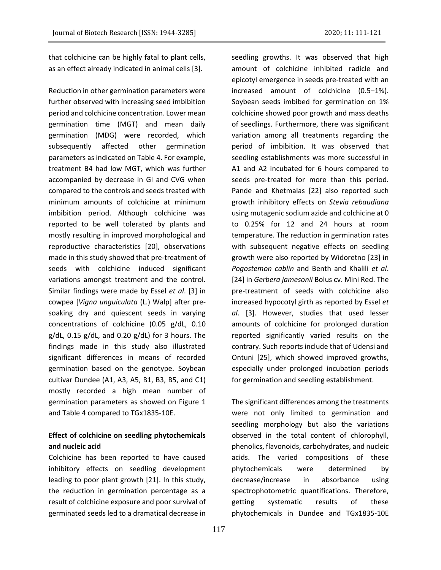that colchicine can be highly fatal to plant cells, as an effect already indicated in animal cells [3].

Reduction in other germination parameters were further observed with increasing seed imbibition period and colchicine concentration. Lower mean germination time (MGT) and mean daily germination (MDG) were recorded, which subsequently affected other germination parameters as indicated on Table 4. For example, treatment B4 had low MGT, which was further accompanied by decrease in GI and CVG when compared to the controls and seeds treated with minimum amounts of colchicine at minimum imbibition period. Although colchicine was reported to be well tolerated by plants and mostly resulting in improved morphological and reproductive characteristics [20], observations made in this study showed that pre-treatment of seeds with colchicine induced significant variations amongst treatment and the control. Similar findings were made by Essel *et al*. [3] in cowpea [*Vigna unguiculata* (L.) Walp] after presoaking dry and quiescent seeds in varying concentrations of colchicine (0.05 g/dL, 0.10  $g/dL$ , 0.15  $g/dL$ , and 0.20  $g/dL$ ) for 3 hours. The findings made in this study also illustrated significant differences in means of recorded germination based on the genotype. Soybean cultivar Dundee (A1, A3, A5, B1, B3, B5, and C1) mostly recorded a high mean number of germination parameters as showed on Figure 1 and Table 4 compared to TGx1835-10E.

# **Effect of colchicine on seedling phytochemicals and nucleic acid**

Colchicine has been reported to have caused inhibitory effects on seedling development leading to poor plant growth [21]. In this study, the reduction in germination percentage as a result of colchicine exposure and poor survival of germinated seeds led to a dramatical decrease in

seedling growths. It was observed that high amount of colchicine inhibited radicle and epicotyl emergence in seeds pre-treated with an increased amount of colchicine (0.5–1%). Soybean seeds imbibed for germination on 1% colchicine showed poor growth and mass deaths of seedlings. Furthermore, there was significant variation among all treatments regarding the period of imbibition. It was observed that seedling establishments was more successful in A1 and A2 incubated for 6 hours compared to seeds pre-treated for more than this period. Pande and Khetmalas [22] also reported such growth inhibitory effects on *Stevia rebaudiana* using mutagenic sodium azide and colchicine at 0 to 0.25% for 12 and 24 hours at room temperature. The reduction in germination rates with subsequent negative effects on seedling growth were also reported by Widoretno [23] in *Pogostemon cablin* and Benth and Khalili *et al*. [24] in *Gerbera jamesonii* Bolus cv. Mini Red. The pre-treatment of seeds with colchicine also increased hypocotyl girth as reported by Essel *et al*. [3]. However, studies that used lesser amounts of colchicine for prolonged duration reported significantly varied results on the contrary. Such reports include that of Udensi and Ontuni [25], which showed improved growths, especially under prolonged incubation periods for germination and seedling establishment.

The significant differences among the treatments were not only limited to germination and seedling morphology but also the variations observed in the total content of chlorophyll, phenolics, flavonoids, carbohydrates, and nucleic acids. The varied compositions of these phytochemicals were determined by decrease/increase in absorbance using spectrophotometric quantifications. Therefore, getting systematic results of these phytochemicals in Dundee and TGx1835-10E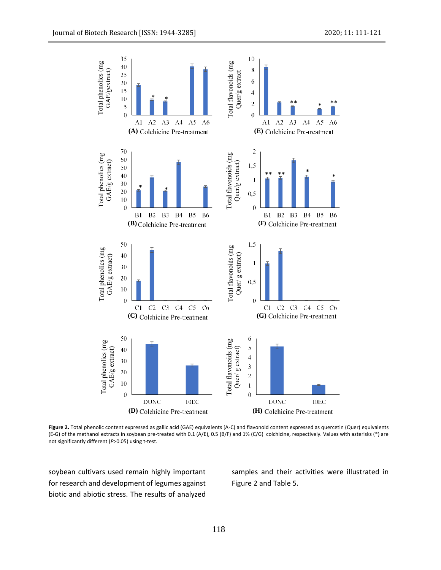

**Figure 2.** Total phenolic content expressed as gallic acid (GAE) equivalents [A-C) and flavonoid content expressed as quercetin (Quer) equivalents (E-G) of the methanol extracts in soybean pre-treated with 0.1 (A/E), 0.5 (B/F) and 1% (C/G) colchicine, respectively. Values with asterisks (\*) are<br>not significantly different (P>0.05) using t-test. not significantly different (*P*>0.05) using t-test.

soybean cultivars used remain highly important for research and development of legumes against biotic and abiotic stress. The results of analyzed samples and their activities were illustrated in Figure 2 and Table 5.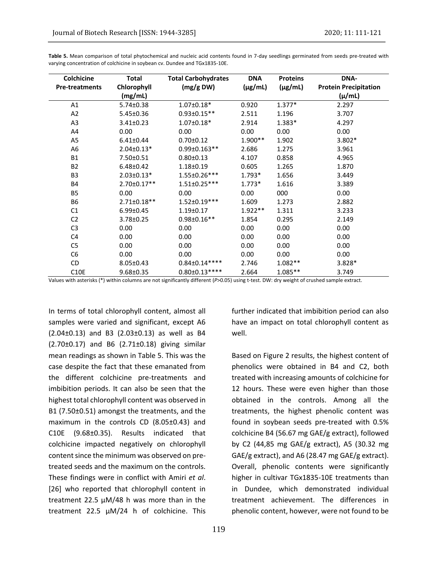| Colchicine            | <b>Total</b>      | <b>Total Carbohydrates</b> | <b>DNA</b>   | <b>Proteins</b> | <b>DNA-</b>                  |
|-----------------------|-------------------|----------------------------|--------------|-----------------|------------------------------|
| <b>Pre-treatments</b> | Chlorophyll       | (mg/g DW)                  | $(\mu g/mL)$ | $(\mu g/mL)$    | <b>Protein Precipitation</b> |
|                       | (mg/mL)           |                            |              |                 | $(\mu/mL)$                   |
| A1                    | $5.74 \pm 0.38$   | $1.07 \pm 0.18*$           | 0.920        | $1.377*$        | 2.297                        |
| A <sub>2</sub>        | $5.45 \pm 0.36$   | $0.93 \pm 0.15**$          | 2.511        | 1.196           | 3.707                        |
| A3                    | $3.41 \pm 0.23$   | $1.07 \pm 0.18*$           | 2.914        | $1.383*$        | 4.297                        |
| A4                    | 0.00              | 0.00                       | 0.00         | 0.00            | 0.00                         |
| A5                    | $6.41 \pm 0.44$   | $0.70 \pm 0.12$            | $1.900**$    | 1.902           | $3.802*$                     |
| A6                    | $2.04 \pm 0.13*$  | 0.99±0.163**               | 2.686        | 1.275           | 3.961                        |
| <b>B1</b>             | 7.50±0.51         | $0.80 \pm 0.13$            | 4.107        | 0.858           | 4.965                        |
| <b>B2</b>             | $6.48 \pm 0.42$   | 1.18±0.19                  | 0.605        | 1.265           | 1.870                        |
| B <sub>3</sub>        | $2.03 \pm 0.13*$  | 1.55±0.26***               | $1.793*$     | 1.656           | 3.449                        |
| <b>B4</b>             | $2.70 \pm 0.17**$ | $1.51 \pm 0.25***$         | $1.773*$     | 1.616           | 3.389                        |
| <b>B5</b>             | 0.00              | 0.00                       | 0.00         | 000             | 0.00                         |
| <b>B6</b>             | $2.71 \pm 0.18**$ | $1.52 \pm 0.19***$         | 1.609        | 1.273           | 2.882                        |
| C1                    | $6.99 \pm 0.45$   | $1.19 \pm 0.17$            | $1.922**$    | 1.311           | 3.233                        |
| C <sub>2</sub>        | 3.78±0.25         | $0.98 \pm 0.16**$          | 1.854        | 0.295           | 2.149                        |
| C <sub>3</sub>        | 0.00              | 0.00                       | 0.00         | 0.00            | 0.00                         |
| C <sub>4</sub>        | 0.00              | 0.00                       | 0.00         | 0.00            | 0.00                         |
| C <sub>5</sub>        | 0.00              | 0.00                       | 0.00         | 0.00            | 0.00                         |
| C <sub>6</sub>        | 0.00              | 0.00                       | 0.00         | 0.00            | 0.00                         |
| CD                    | $8.05 \pm 0.43$   | $0.84 \pm 0.14***$         | 2.746        | $1.082**$       | $3.828*$                     |
| <b>C10E</b>           | 9.68±0.35         | $0.80 \pm 0.13***$         | 2.664        | $1.085**$       | 3.749                        |

**Table 5.** Mean comparison of total phytochemical and nucleic acid contents found in 7-day seedlings germinated from seeds pre-treated with varying concentration of colchicine in soybean cv. Dundee and TGx1835-10E.

Values with asterisks (\*) within columns are not significantly different (*P*>0.05) using t-test. DW: dry weight of crushed sample extract.

In terms of total chlorophyll content, almost all samples were varied and significant, except A6 (2.04±0.13) and B3 (2.03±0.13) as well as B4 (2.70±0.17) and B6 (2.71±0.18) giving similar mean readings as shown in Table 5. This was the case despite the fact that these emanated from the different colchicine pre-treatments and imbibition periods. It can also be seen that the highest total chlorophyll content was observed in B1 (7.50±0.51) amongst the treatments, and the maximum in the controls CD (8.05±0.43) and C10E (9.68±0.35). Results indicated that colchicine impacted negatively on chlorophyll content since the minimum was observed on pretreated seeds and the maximum on the controls. These findings were in conflict with Amiri *et al*. [26] who reported that chlorophyll content in treatment 22.5 µM/48 h was more than in the treatment 22.5 µM/24 h of colchicine. This

further indicated that imbibition period can also have an impact on total chlorophyll content as well.

Based on Figure 2 results, the highest content of phenolics were obtained in B4 and C2, both treated with increasing amounts of colchicine for 12 hours. These were even higher than those obtained in the controls. Among all the treatments, the highest phenolic content was found in soybean seeds pre-treated with 0.5% colchicine B4 (56.67 mg GAE/g extract), followed by C2 (44,85 mg GAE/g extract), A5 (30.32 mg GAE/g extract), and A6 (28.47 mg GAE/g extract). Overall, phenolic contents were significantly higher in cultivar TGx1835-10E treatments than in Dundee, which demonstrated individual treatment achievement. The differences in phenolic content, however, were not found to be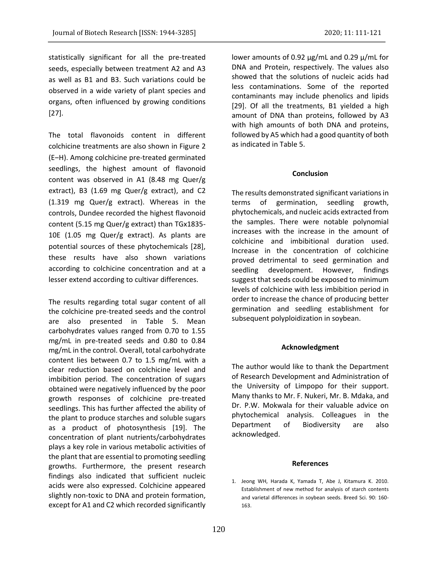statistically significant for all the pre-treated seeds, especially between treatment A2 and A3 as well as B1 and B3. Such variations could be observed in a wide variety of plant species and organs, often influenced by growing conditions [27].

The total flavonoids content in different colchicine treatments are also shown in Figure 2 (E‒H). Among colchicine pre-treated germinated seedlings, the highest amount of flavonoid content was observed in A1 (8.48 mg Quer/g extract), B3 (1.69 mg Quer/g extract), and C2 (1.319 mg Quer/g extract). Whereas in the controls, Dundee recorded the highest flavonoid content (5.15 mg Quer/g extract) than TGx1835- 10E (1.05 mg Quer/g extract). As plants are potential sources of these phytochemicals [28], these results have also shown variations according to colchicine concentration and at a lesser extend according to cultivar differences.

The results regarding total sugar content of all the colchicine pre-treated seeds and the control are also presented in Table 5. Mean carbohydrates values ranged from 0.70 to 1.55 mg/mL in pre-treated seeds and 0.80 to 0.84 mg/mL in the control. Overall, total carbohydrate content lies between 0.7 to 1.5 mg/mL with a clear reduction based on colchicine level and imbibition period. The concentration of sugars obtained were negatively influenced by the poor growth responses of colchicine pre-treated seedlings. This has further affected the ability of the plant to produce starches and soluble sugars as a product of photosynthesis [19]. The concentration of plant nutrients/carbohydrates plays a key role in various metabolic activities of the plant that are essential to promoting seedling growths. Furthermore, the present research findings also indicated that sufficient nucleic acids were also expressed. Colchicine appeared slightly non-toxic to DNA and protein formation, except for A1 and C2 which recorded significantly

lower amounts of 0.92 µg/mL and 0.29 µ/mL for DNA and Protein, respectively. The values also showed that the solutions of nucleic acids had less contaminations. Some of the reported contaminants may include phenolics and lipids [29]. Of all the treatments, B1 yielded a high amount of DNA than proteins, followed by A3 with high amounts of both DNA and proteins, followed by A5 which had a good quantity of both as indicated in Table 5.

#### **Conclusion**

The results demonstrated significant variations in terms of germination, seedling growth, phytochemicals, and nucleic acids extracted from the samples. There were notable polynomial increases with the increase in the amount of colchicine and imbibitional duration used. Increase in the concentration of colchicine proved detrimental to seed germination and seedling development. However, findings suggest that seeds could be exposed to minimum levels of colchicine with less imbibition period in order to increase the chance of producing better germination and seedling establishment for subsequent polyploidization in soybean.

#### **Acknowledgment**

The author would like to thank the Department of Research Development and Administration of the University of Limpopo for their support. Many thanks to Mr. F. Nukeri, Mr. B. Mdaka, and Dr. P.W. Mokwala for their valuable advice on phytochemical analysis. Colleagues in the Department of Biodiversity are also acknowledged.

#### **References**

1. Jeong WH, Harada K, Yamada T, Abe J, Kitamura K. 2010. Establishment of new method for analysis of starch contents and varietal differences in soybean seeds. Breed Sci. 90: 160- 163.